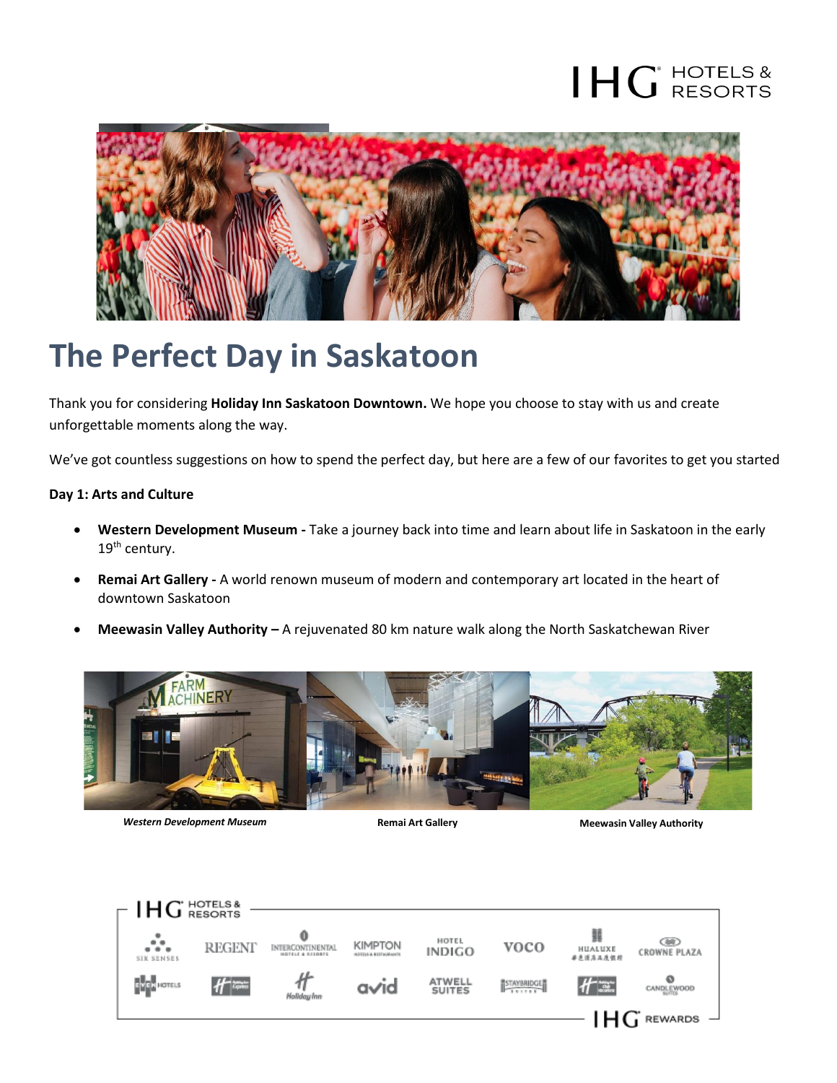# $\mathsf{HG}^\mathsf{HOTELS\&}$



### **The Perfect Day in Saskatoon**

Thank you for considering **Holiday Inn Saskatoon Downtown.** We hope you choose to stay with us and create unforgettable moments along the way.

We've got countless suggestions on how to spend the perfect day, but here are a few of our favorites to get you started

#### **Day 1: Arts and Culture**

- **Western Development Museum -** Take a journey back into time and learn about life in Saskatoon in the early 19<sup>th</sup> century.
- **Remai Art Gallery -** A world renown museum of modern and contemporary art located in the heart of downtown Saskatoon
- **Meewasin Valley Authority –** A rejuvenated 80 km nature walk along the North Saskatchewan River



**Western Development Museum Remai Art Gallery Meewasin Valley Authority Meewasin Valley Authority**